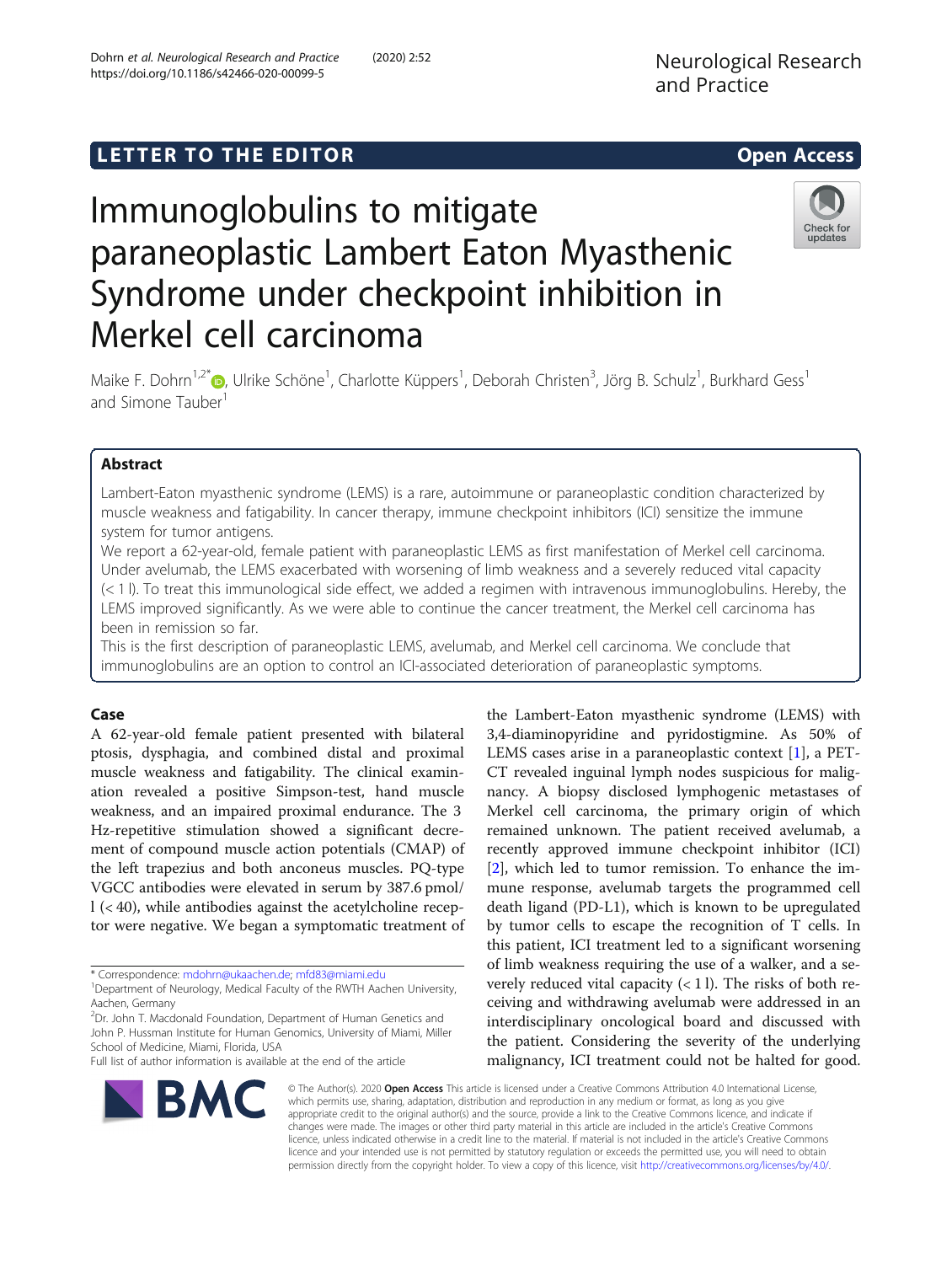# L E T T ER TOR OPEN ACCESS TO THE EXPLORATION OF THE EXPLORATION OF THE EXPLORATION OF THE EXPLORATION OF THE <br>The exploration of the exploration of the exploration of the exploration of the exploration of the exploration

# Immunoglobulins to mitigate paraneoplastic Lambert Eaton Myasthenic Syndrome under checkpoint inhibition in Merkel cell carcinoma



Maike F. Dohrn<sup>1[,](https://orcid.org/0000-0002-5320-9807)2\*</sup>®, Ulrike Schöne<sup>1</sup>, Charlotte Küppers<sup>1</sup>, Deborah Christen<sup>3</sup>, Jörg B. Schulz<sup>1</sup>, Burkhard Gess<sup>1</sup> and Simone Tauber<sup>1</sup>

# **Abstract**

Lambert-Eaton myasthenic syndrome (LEMS) is a rare, autoimmune or paraneoplastic condition characterized by muscle weakness and fatigability. In cancer therapy, immune checkpoint inhibitors (ICI) sensitize the immune system for tumor antigens.

We report a 62-year-old, female patient with paraneoplastic LEMS as first manifestation of Merkel cell carcinoma. Under avelumab, the LEMS exacerbated with worsening of limb weakness and a severely reduced vital capacity (< 1 l). To treat this immunological side effect, we added a regimen with intravenous immunoglobulins. Hereby, the LEMS improved significantly. As we were able to continue the cancer treatment, the Merkel cell carcinoma has been in remission so far.

This is the first description of paraneoplastic LEMS, avelumab, and Merkel cell carcinoma. We conclude that immunoglobulins are an option to control an ICI-associated deterioration of paraneoplastic symptoms.

A 62-year-old female patient presented with bilateral ptosis, dysphagia, and combined distal and proximal muscle weakness and fatigability. The clinical examination revealed a positive Simpson-test, hand muscle weakness, and an impaired proximal endurance. The 3 Hz-repetitive stimulation showed a significant decrement of compound muscle action potentials (CMAP) of the left trapezius and both anconeus muscles. PQ-type VGCC antibodies were elevated in serum by 387.6 pmol/ l (< 40), while antibodies against the acetylcholine receptor were negative. We began a symptomatic treatment of

<sup>2</sup>Dr. John T. Macdonald Foundation, Department of Human Genetics and John P. Hussman Institute for Human Genomics, University of Miami, Miller School of Medicine, Miami, Florida, USA

**BMC** 



the Lambert-Eaton myasthenic syndrome (LEMS) with 3,4-diaminopyridine and pyridostigmine. As 50% of

© The Author(s). 2020 Open Access This article is licensed under a Creative Commons Attribution 4.0 International License, which permits use, sharing, adaptation, distribution and reproduction in any medium or format, as long as you give appropriate credit to the original author(s) and the source, provide a link to the Creative Commons licence, and indicate if changes were made. The images or other third party material in this article are included in the article's Creative Commons licence, unless indicated otherwise in a credit line to the material. If material is not included in the article's Creative Commons licence and your intended use is not permitted by statutory regulation or exceeds the permitted use, you will need to obtain permission directly from the copyright holder. To view a copy of this licence, visit [http://creativecommons.org/licenses/by/4.0/.](http://creativecommons.org/licenses/by/4.0/)

<sup>\*</sup> Correspondence: [mdohrn@ukaachen.de;](mailto:mdohrn@ukaachen.de) [mfd83@miami.edu](mailto:mfd83@miami.edu) <sup>1</sup>

<sup>&</sup>lt;sup>1</sup>Department of Neurology, Medical Faculty of the RWTH Aachen University, Aachen, Germany

Full list of author information is available at the end of the article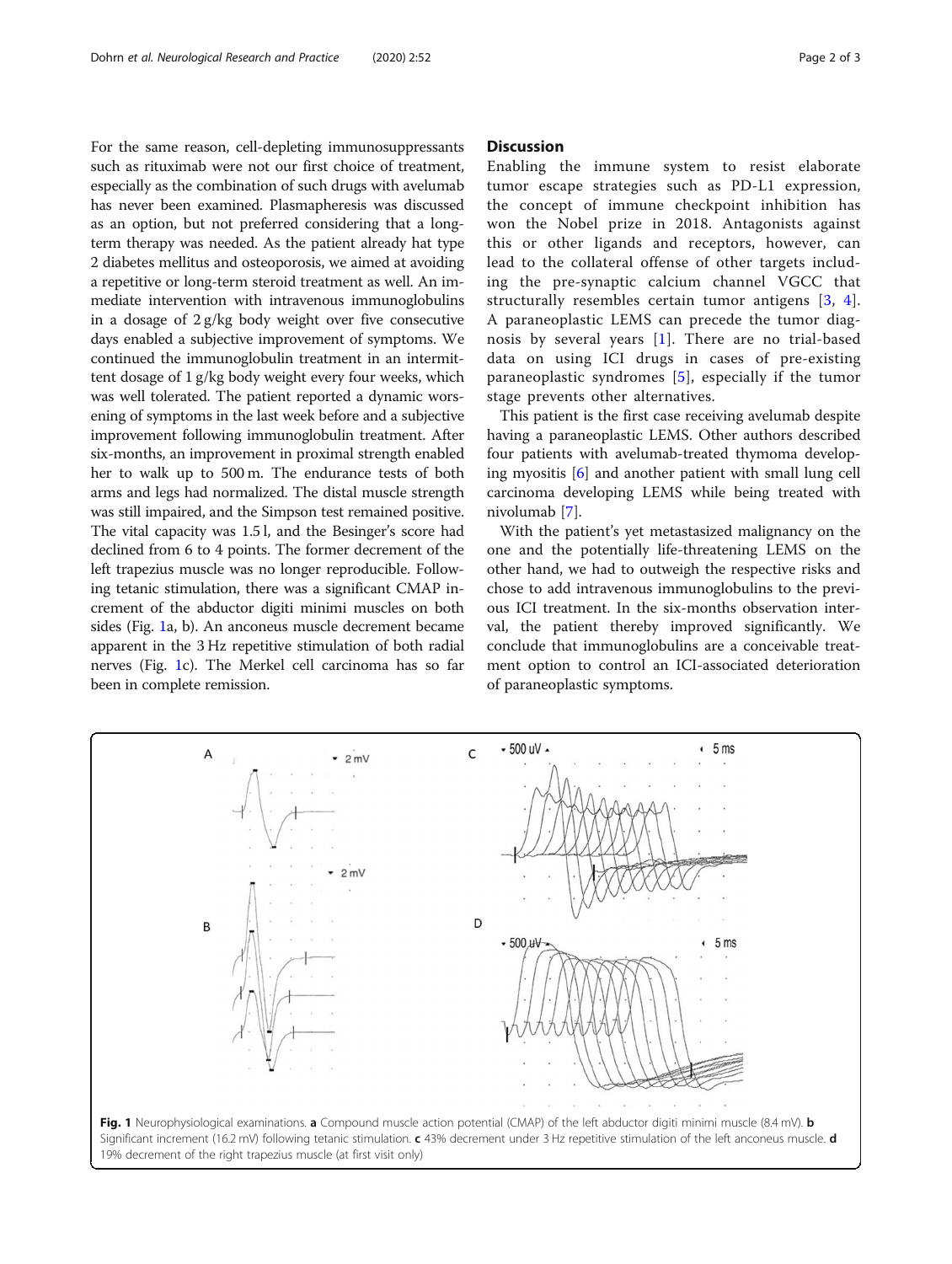For the same reason, cell-depleting immunosuppressants such as rituximab were not our first choice of treatment, especially as the combination of such drugs with avelumab has never been examined. Plasmapheresis was discussed as an option, but not preferred considering that a longterm therapy was needed. As the patient already hat type 2 diabetes mellitus and osteoporosis, we aimed at avoiding a repetitive or long-term steroid treatment as well. An immediate intervention with intravenous immunoglobulins in a dosage of 2 g/kg body weight over five consecutive days enabled a subjective improvement of symptoms. We continued the immunoglobulin treatment in an intermittent dosage of 1 g/kg body weight every four weeks, which was well tolerated. The patient reported a dynamic worsening of symptoms in the last week before and a subjective improvement following immunoglobulin treatment. After six-months, an improvement in proximal strength enabled her to walk up to 500 m. The endurance tests of both arms and legs had normalized. The distal muscle strength was still impaired, and the Simpson test remained positive. The vital capacity was 1.5 l, and the Besinger's score had declined from 6 to 4 points. The former decrement of the left trapezius muscle was no longer reproducible. Following tetanic stimulation, there was a significant CMAP increment of the abductor digiti minimi muscles on both sides (Fig. 1a, b). An anconeus muscle decrement became apparent in the 3 Hz repetitive stimulation of both radial nerves (Fig. 1c). The Merkel cell carcinoma has so far been in complete remission.

## **Discussion**

Enabling the immune system to resist elaborate tumor escape strategies such as PD-L1 expression, the concept of immune checkpoint inhibition has won the Nobel prize in 2018. Antagonists against this or other ligands and receptors, however, can lead to the collateral offense of other targets including the pre-synaptic calcium channel VGCC that structurally resembles certain tumor antigens [\[3,](#page-2-0) [4](#page-2-0)]. A paraneoplastic LEMS can precede the tumor diagnosis by several years [[1](#page-2-0)]. There are no trial-based data on using ICI drugs in cases of pre-existing paraneoplastic syndromes [[5](#page-2-0)], especially if the tumor stage prevents other alternatives.

This patient is the first case receiving avelumab despite having a paraneoplastic LEMS. Other authors described four patients with avelumab-treated thymoma developing myositis [[6\]](#page-2-0) and another patient with small lung cell carcinoma developing LEMS while being treated with nivolumab [[7\]](#page-2-0).

With the patient's yet metastasized malignancy on the one and the potentially life-threatening LEMS on the other hand, we had to outweigh the respective risks and chose to add intravenous immunoglobulins to the previous ICI treatment. In the six-months observation interval, the patient thereby improved significantly. We conclude that immunoglobulins are a conceivable treatment option to control an ICI-associated deterioration of paraneoplastic symptoms.